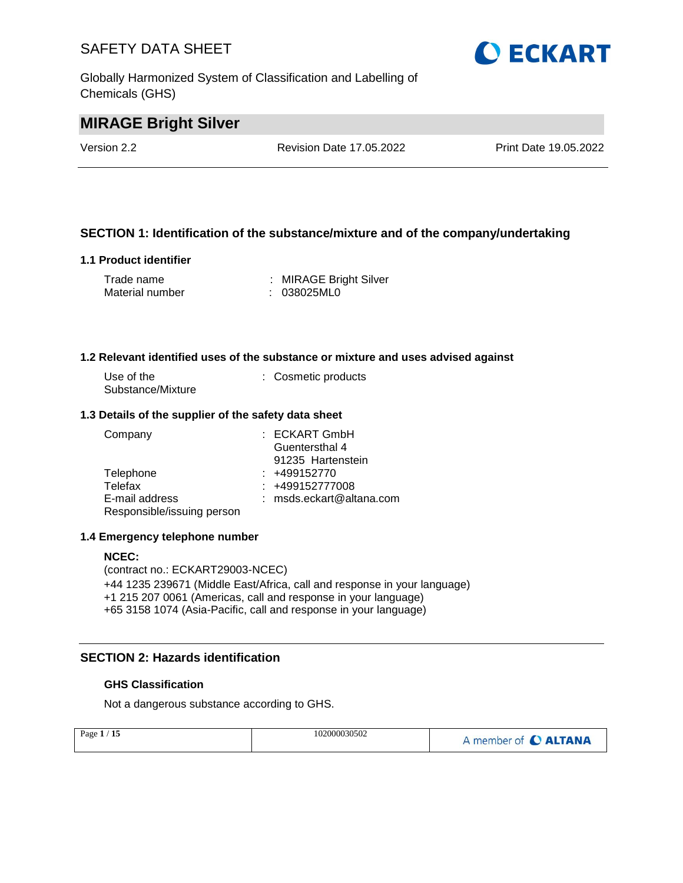Globally Harmonized System of Classification and Labelling of Chemicals (GHS)



# **MIRAGE Bright Silver**

Version 2.2 Revision Date 17.05.2022 Print Date 19.05.2022

#### **SECTION 1: Identification of the substance/mixture and of the company/undertaking**

#### **1.1 Product identifier**

| Trade name      | : MIRAGE Bright Silver |
|-----------------|------------------------|
| Material number | : 038025ML0            |

#### **1.2 Relevant identified uses of the substance or mixture and uses advised against**

| Use of the        | : Cosmetic products |
|-------------------|---------------------|
| Substance/Mixture |                     |

#### **1.3 Details of the supplier of the safety data sheet**

| Company                    | : ECKART GmbH              |
|----------------------------|----------------------------|
|                            | Guentersthal 4             |
|                            | 91235 Hartenstein          |
| Telephone                  | $: +499152770$             |
| Telefax                    | $: +499152777008$          |
| E-mail address             | $:$ msds.eckart@altana.com |
| Responsible/issuing person |                            |

#### **1.4 Emergency telephone number**

#### **NCEC:**

(contract no.: ECKART29003-NCEC) +44 1235 239671 (Middle East/Africa, call and response in your language) +1 215 207 0061 (Americas, call and response in your language) +65 3158 1074 (Asia-Pacific, call and response in your language)

#### **SECTION 2: Hazards identification**

#### **GHS Classification**

Not a dangerous substance according to GHS.

| Page $1/15$ | 102000030502 | A member of C ALTANA |
|-------------|--------------|----------------------|
|             |              |                      |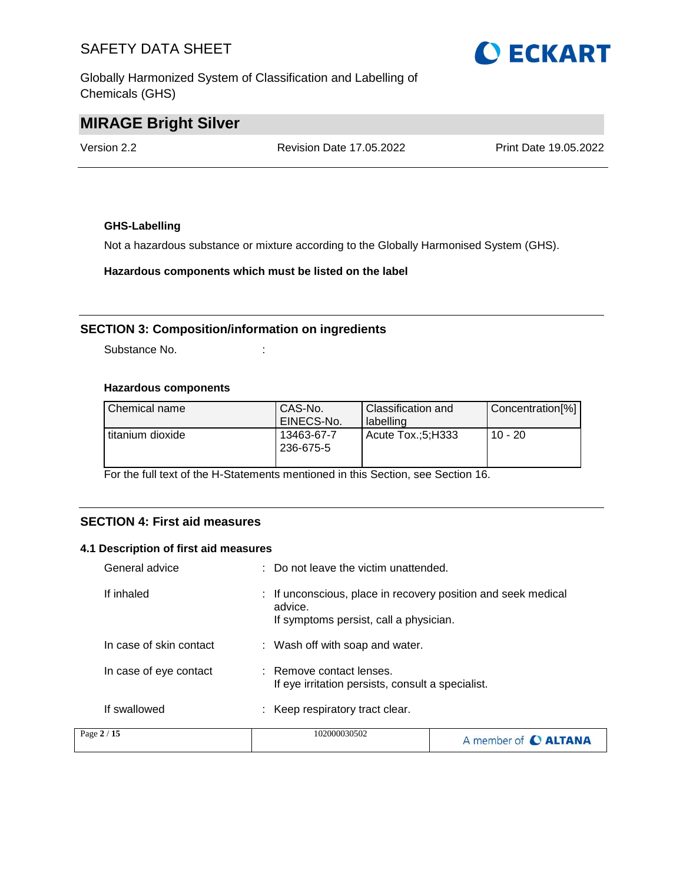Globally Harmonized System of Classification and Labelling of Chemicals (GHS)



### **MIRAGE Bright Silver**

Version 2.2 Revision Date 17.05.2022 Print Date 19.05.2022

#### **GHS-Labelling**

Not a hazardous substance or mixture according to the Globally Harmonised System (GHS).

**Hazardous components which must be listed on the label**

#### **SECTION 3: Composition/information on ingredients**

Substance No. **:**  $\qquad \qquad$  :

#### **Hazardous components**

| Chemical name    | CAS-No.<br>EINECS-No.   | Classification and<br>labelling | Concentration[%] |
|------------------|-------------------------|---------------------------------|------------------|
| titanium dioxide | 13463-67-7<br>236-675-5 | Acute Tox.:5:H333               | $10 - 20$        |

For the full text of the H-Statements mentioned in this Section, see Section 16.

#### **SECTION 4: First aid measures**

#### **4.1 Description of first aid measures**

| General advice          | : Do not leave the victim unattended.                                                                              |                             |
|-------------------------|--------------------------------------------------------------------------------------------------------------------|-----------------------------|
| If inhaled              | : If unconscious, place in recovery position and seek medical<br>advice.<br>If symptoms persist, call a physician. |                             |
| In case of skin contact | : Wash off with soap and water.                                                                                    |                             |
| In case of eye contact  | : Remove contact lenses.<br>If eye irritation persists, consult a specialist.                                      |                             |
| If swallowed            | : Keep respiratory tract clear.                                                                                    |                             |
| Page 2 / 15             | 102000030502                                                                                                       | A member of <b>C ALTANA</b> |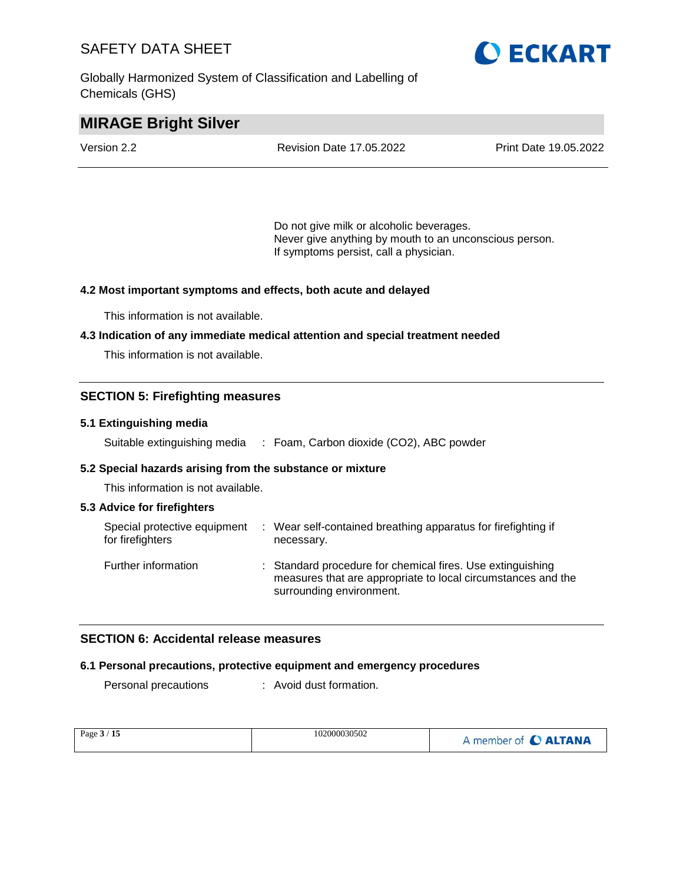Globally Harmonized System of Classification and Labelling of Chemicals (GHS)



### **MIRAGE Bright Silver**

| Version 2.2 | <b>Revision Date 17.05.2022</b> | <b>Print Date 19.05.2022</b> |
|-------------|---------------------------------|------------------------------|
|             |                                 |                              |

Do not give milk or alcoholic beverages. Never give anything by mouth to an unconscious person. If symptoms persist, call a physician.

#### **4.2 Most important symptoms and effects, both acute and delayed**

This information is not available.

#### **4.3 Indication of any immediate medical attention and special treatment needed**

This information is not available.

#### **SECTION 5: Firefighting measures**

#### **5.1 Extinguishing media**

Suitable extinguishing media : Foam, Carbon dioxide (CO2), ABC powder

#### **5.2 Special hazards arising from the substance or mixture**

This information is not available.

#### **5.3 Advice for firefighters**

| Special protective equipment<br>for firefighters | : Wear self-contained breathing apparatus for firefighting if<br>necessary.                                                                            |
|--------------------------------------------------|--------------------------------------------------------------------------------------------------------------------------------------------------------|
| Further information                              | : Standard procedure for chemical fires. Use extinguishing<br>measures that are appropriate to local circumstances and the<br>surrounding environment. |

#### **SECTION 6: Accidental release measures**

#### **6.1 Personal precautions, protective equipment and emergency procedures**

Personal precautions : Avoid dust formation.

| Page 3 / 15 | 102000030502 | A member of C ALTANA |
|-------------|--------------|----------------------|
|-------------|--------------|----------------------|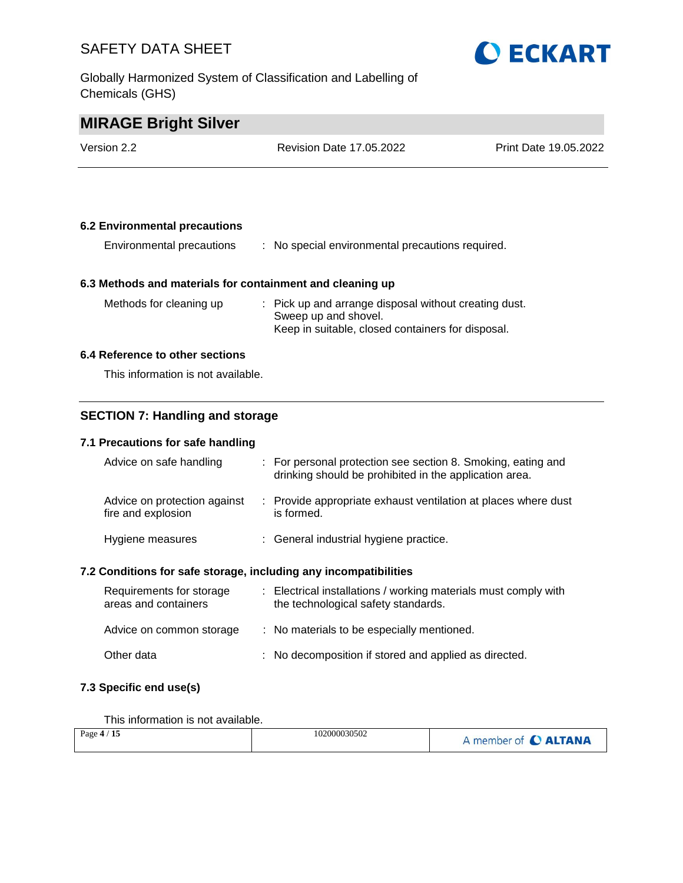Globally Harmonized System of Classification and Labelling of Chemicals (GHS)



### **MIRAGE Bright Silver**

| Version 2.2 | <b>Revision Date 17.05.2022</b> | <b>Print Date 19.05.2022</b> |
|-------------|---------------------------------|------------------------------|
|             |                                 |                              |

#### **6.2 Environmental precautions**

| Environmental precautions | : No special environmental precautions required. |
|---------------------------|--------------------------------------------------|
|---------------------------|--------------------------------------------------|

#### **6.3 Methods and materials for containment and cleaning up**

| Methods for cleaning up | : Pick up and arrange disposal without creating dust. |
|-------------------------|-------------------------------------------------------|
|                         | Sweep up and shovel.                                  |
|                         | Keep in suitable, closed containers for disposal.     |

#### **6.4 Reference to other sections**

This information is not available.

#### **SECTION 7: Handling and storage**

#### **7.1 Precautions for safe handling**

| Advice on safe handling                                                                                                                                                                                                        | : For personal protection see section 8. Smoking, eating and<br>drinking should be prohibited in the application area. |
|--------------------------------------------------------------------------------------------------------------------------------------------------------------------------------------------------------------------------------|------------------------------------------------------------------------------------------------------------------------|
| Advice on protection against<br>fire and explosion                                                                                                                                                                             | : Provide appropriate exhaust ventilation at places where dust<br>is formed.                                           |
| Hygiene measures                                                                                                                                                                                                               | : General industrial hygiene practice.                                                                                 |
| A she that she are a safe in a she we have been the compact of the same of the theory of the same of the same of the same of the same of the same of the same of the same of the same of the same of the same of the same of t |                                                                                                                        |

#### **7.2 Conditions for safe storage, including any incompatibilities**

| Requirements for storage<br>areas and containers | : Electrical installations / working materials must comply with<br>the technological safety standards. |
|--------------------------------------------------|--------------------------------------------------------------------------------------------------------|
| Advice on common storage                         | : No materials to be especially mentioned.                                                             |
| Other data                                       | : No decomposition if stored and applied as directed.                                                  |

#### **7.3 Specific end use(s)**

This information is not available.

| Page $4/15$ | 102000030502 | A member of C ALTANA |
|-------------|--------------|----------------------|
|-------------|--------------|----------------------|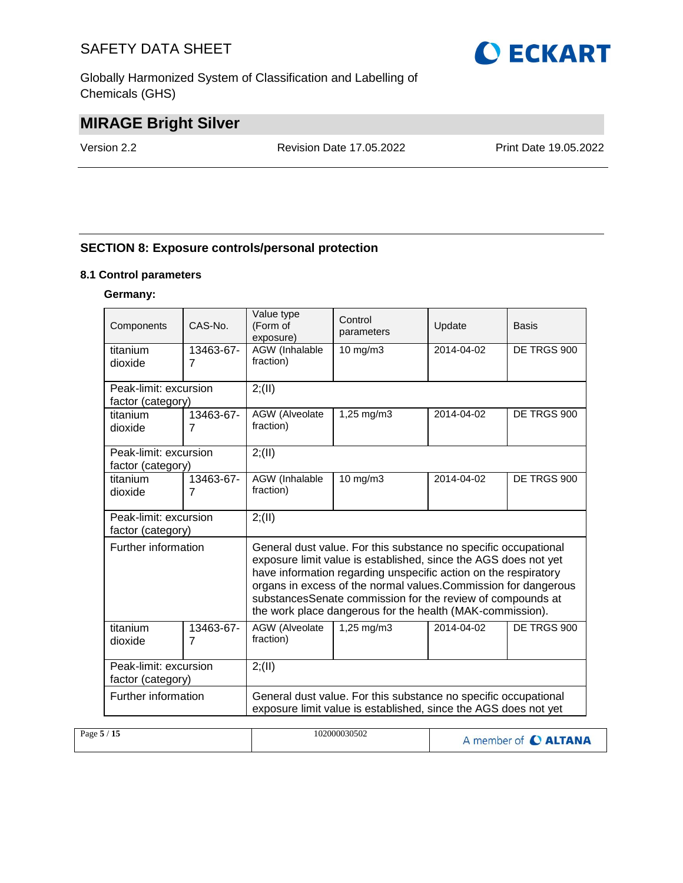Globally Harmonized System of Classification and Labelling of Chemicals (GHS)



# **MIRAGE Bright Silver**

Version 2.2 Revision Date 17.05.2022 Print Date 19.05.2022

#### **SECTION 8: Exposure controls/personal protection**

#### **8.1 Control parameters**

#### **Germany:**

| Components            | $CAS-N0$ .                  | Value type<br>(Form of<br>exposure)                                                                                    | Control<br>parameters                                                                                                                                                                                                                                                                                                                  | Update     | Basis       |  |  |  |
|-----------------------|-----------------------------|------------------------------------------------------------------------------------------------------------------------|----------------------------------------------------------------------------------------------------------------------------------------------------------------------------------------------------------------------------------------------------------------------------------------------------------------------------------------|------------|-------------|--|--|--|
| titanium<br>dioxide   | 13463-67-<br>$\overline{7}$ | AGW (Inhalable<br>fraction)                                                                                            | 10 mg/m3                                                                                                                                                                                                                                                                                                                               | 2014-04-02 | DE TRGS 900 |  |  |  |
|                       |                             |                                                                                                                        |                                                                                                                                                                                                                                                                                                                                        |            |             |  |  |  |
| Peak-limit: excursion |                             | 2; (II)                                                                                                                |                                                                                                                                                                                                                                                                                                                                        |            |             |  |  |  |
| factor (category)     |                             |                                                                                                                        |                                                                                                                                                                                                                                                                                                                                        |            |             |  |  |  |
| titanium<br>dioxide   | 13463-67-<br>$\overline{7}$ | AGW (Alveolate<br>1,25 mg/m3<br>2014-04-02<br>fraction)                                                                |                                                                                                                                                                                                                                                                                                                                        |            | DE TRGS 900 |  |  |  |
|                       |                             |                                                                                                                        |                                                                                                                                                                                                                                                                                                                                        |            |             |  |  |  |
| Peak-limit: excursion |                             | 2; (II)                                                                                                                |                                                                                                                                                                                                                                                                                                                                        |            |             |  |  |  |
| factor (category)     |                             |                                                                                                                        |                                                                                                                                                                                                                                                                                                                                        |            |             |  |  |  |
| titanium              | 13463-67-                   | AGW (Inhalable                                                                                                         | $10 \text{ mg/m}$                                                                                                                                                                                                                                                                                                                      | 2014-04-02 | DE TRGS 900 |  |  |  |
| dioxide               | $\overline{7}$              |                                                                                                                        | fraction)                                                                                                                                                                                                                                                                                                                              |            |             |  |  |  |
| Peak-limit: excursion |                             | 2; (II)                                                                                                                |                                                                                                                                                                                                                                                                                                                                        |            |             |  |  |  |
| factor (category)     |                             |                                                                                                                        |                                                                                                                                                                                                                                                                                                                                        |            |             |  |  |  |
| Further information   |                             |                                                                                                                        | General dust value. For this substance no specific occupational<br>exposure limit value is established, since the AGS does not yet<br>have information regarding unspecific action on the respiratory<br>organs in excess of the normal values. Commission for dangerous<br>substancesSenate commission for the review of compounds at |            |             |  |  |  |
| titanium              | 13463-67-                   | the work place dangerous for the health (MAK-commission).<br>AGW (Alveolate<br>1,25 mg/m3<br>DE TRGS 900<br>2014-04-02 |                                                                                                                                                                                                                                                                                                                                        |            |             |  |  |  |
| dioxide               | $\overline{7}$              | fraction)                                                                                                              |                                                                                                                                                                                                                                                                                                                                        |            |             |  |  |  |
|                       |                             |                                                                                                                        |                                                                                                                                                                                                                                                                                                                                        |            |             |  |  |  |
| Peak-limit: excursion |                             | 2; (II)                                                                                                                |                                                                                                                                                                                                                                                                                                                                        |            |             |  |  |  |
| factor (category)     |                             |                                                                                                                        |                                                                                                                                                                                                                                                                                                                                        |            |             |  |  |  |
| Further information   |                             |                                                                                                                        | General dust value. For this substance no specific occupational<br>exposure limit value is established, since the AGS does not yet                                                                                                                                                                                                     |            |             |  |  |  |

| Page $5/15$ | 102000030502 | A member of C ALTANA |
|-------------|--------------|----------------------|
|             |              |                      |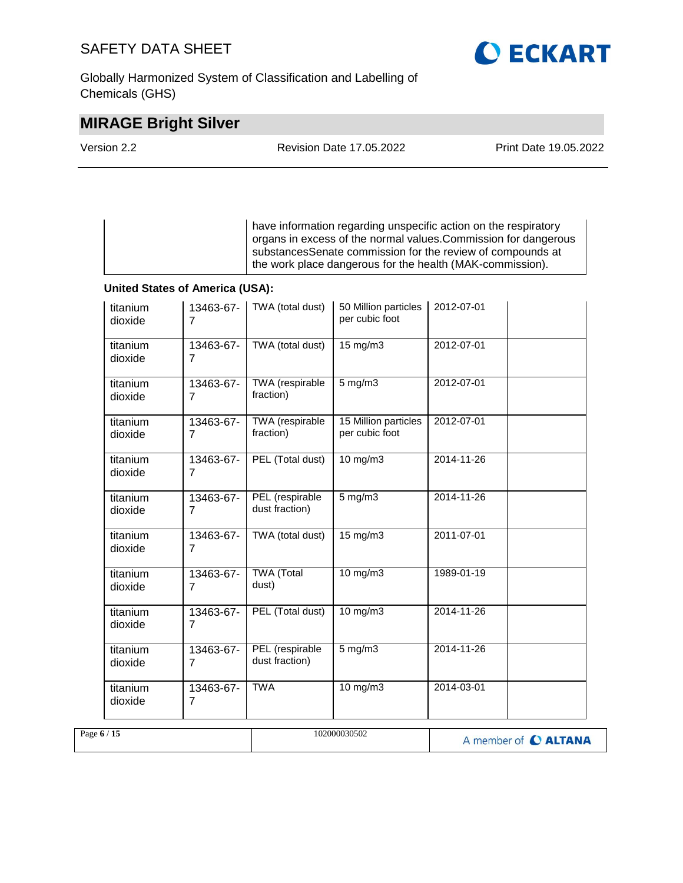Globally Harmonized System of Classification and Labelling of Chemicals (GHS)

# **MIRAGE Bright Silver**

| Version 2.2 | <b>Revision Date 17.05.2022</b> | Print Date 19.05.2022 |  |
|-------------|---------------------------------|-----------------------|--|
|             |                                 |                       |  |

have information regarding unspecific action on the respiratory organs in excess of the normal values.Commission for dangerous substancesSenate commission for the review of compounds at the work place dangerous for the health (MAK-commission).

#### **United States of America (USA):**

| titanium<br>dioxide | 13463-67-<br>$\overline{7}$ | TWA (total dust)                  | 50 Million particles<br>per cubic foot  | 2012-07-01           |  |
|---------------------|-----------------------------|-----------------------------------|-----------------------------------------|----------------------|--|
| titanium<br>dioxide | 13463-67-<br>$\overline{7}$ | TWA (total dust)                  | $15 \text{ mg/m}$                       | 2012-07-01           |  |
| titanium<br>dioxide | 13463-67-<br>7              | TWA (respirable<br>fraction)      | $5$ mg/m $3$                            | 2012-07-01           |  |
| titanium<br>dioxide | 13463-67-<br>$\overline{7}$ | TWA (respirable<br>fraction)      | 15 Million particles<br>per cubic foot  | 2012-07-01           |  |
| titanium<br>dioxide | 13463-67-<br>7              | PEL (Total dust)                  | $10$ mg/m $3$                           | 2014-11-26           |  |
| titanium<br>dioxide | 13463-67-<br>$\overline{7}$ | PEL (respirable<br>dust fraction) | $5$ mg/m $3$                            | 2014-11-26           |  |
| titanium<br>dioxide | 13463-67-<br>$\overline{7}$ | TWA (total dust)                  | 15 mg/m3                                | 2011-07-01           |  |
| titanium<br>dioxide | 13463-67-<br>7              | <b>TWA</b> (Total<br>dust)        | 10 mg/m3                                | 1989-01-19           |  |
| titanium<br>dioxide | 13463-67-<br>$\overline{7}$ | PEL (Total dust)                  | 10 mg/m3                                | 2014-11-26           |  |
| titanium<br>dioxide | 13463-67-<br>$\overline{7}$ | PEL (respirable<br>dust fraction) | $5 \overline{\mathrm{mg}} / \mathrm{m}$ | 2014-11-26           |  |
| titanium<br>dioxide | 13463-67-<br>7              | <b>TWA</b>                        | $10$ mg/m $3$                           | 2014-03-01           |  |
| Page 6 / 15         |                             |                                   | 102000030502                            | A member of C ALTANA |  |

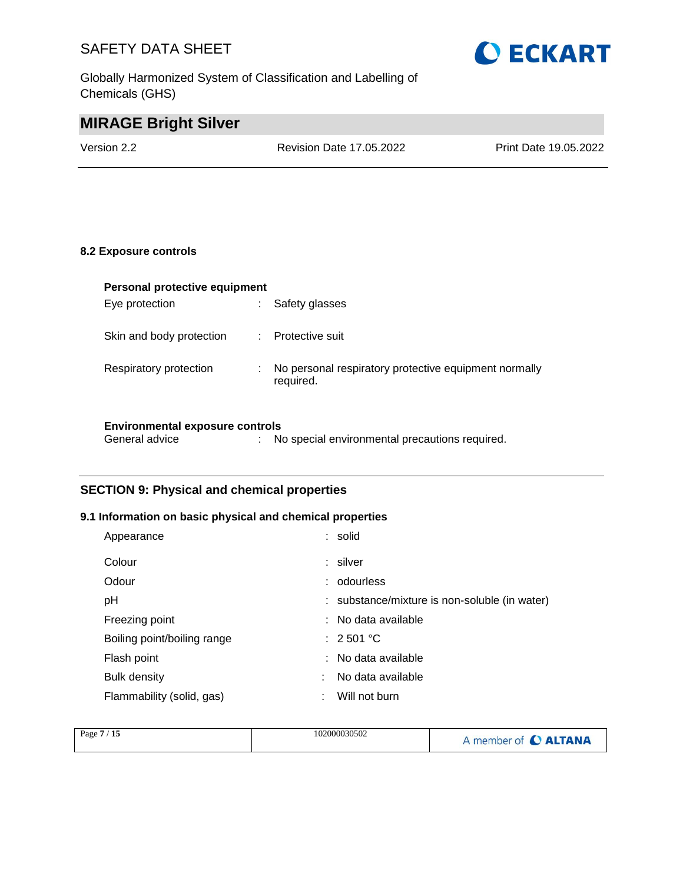Globally Harmonized System of Classification and Labelling of Chemicals (GHS)



# **MIRAGE Bright Silver**

Version 2.2 Revision Date 17.05.2022 Print Date 19.05.2022

#### **8.2 Exposure controls**

| Personal protective equipment |   |                                                       |  |  |
|-------------------------------|---|-------------------------------------------------------|--|--|
| Eye protection                | ÷ | Safety glasses                                        |  |  |
|                               |   |                                                       |  |  |
| Skin and body protection      | ÷ | Protective suit                                       |  |  |
|                               |   |                                                       |  |  |
| Respiratory protection        | ÷ | No personal respiratory protective equipment normally |  |  |
|                               |   | required.                                             |  |  |
|                               |   |                                                       |  |  |
|                               |   |                                                       |  |  |

#### **Environmental exposure controls**

#### **SECTION 9: Physical and chemical properties**

#### **9.1 Information on basic physical and chemical properties**

| Appearance                  | : solid                                       |
|-----------------------------|-----------------------------------------------|
| Colour                      | : silver                                      |
| Odour                       | : odourless                                   |
| рH                          | : substance/mixture is non-soluble (in water) |
| Freezing point              | : No data available                           |
| Boiling point/boiling range | $\therefore$ 2.501 °C                         |
| Flash point                 | : No data available                           |
| <b>Bulk density</b>         | No data available                             |
| Flammability (solid, gas)   | Will not burn                                 |

| Page $7/15$ | 102000030502 | A member of C ALTANA |
|-------------|--------------|----------------------|
|             |              |                      |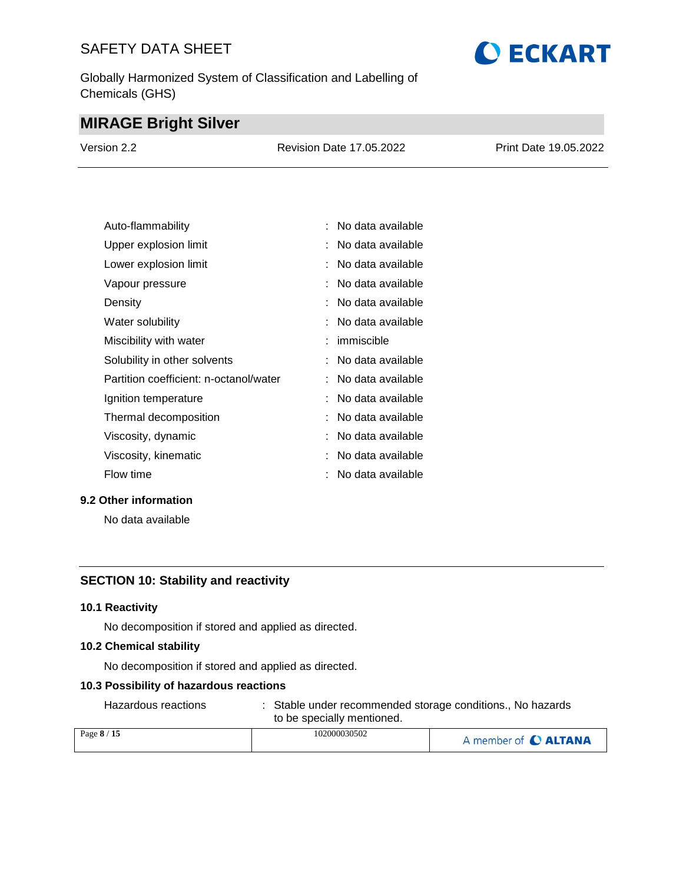Globally Harmonized System of Classification and Labelling of Chemicals (GHS)

# **O ECKART**

### **MIRAGE Bright Silver**

| Version 2.2 | <b>Revision Date 17.05.2022</b> | Print Date 19.05.2022 |
|-------------|---------------------------------|-----------------------|
|             |                                 |                       |

| Auto-flammability                      | : No data available |
|----------------------------------------|---------------------|
| Upper explosion limit                  | No data available   |
| Lower explosion limit                  | No data available   |
| Vapour pressure                        | No data available   |
| Density                                | No data available   |
| Water solubility                       | No data available   |
| Miscibility with water                 | immiscible          |
| Solubility in other solvents           | No data available   |
| Partition coefficient: n-octanol/water | No data available   |
| Ignition temperature                   | No data available   |
| Thermal decomposition                  | No data available   |
| Viscosity, dynamic                     | : No data available |
| Viscosity, kinematic                   | No data available   |
| Flow time                              | No data available   |

#### **9.2 Other information**

No data available

#### **SECTION 10: Stability and reactivity**

#### **10.1 Reactivity**

No decomposition if stored and applied as directed.

#### **10.2 Chemical stability**

No decomposition if stored and applied as directed.

#### **10.3 Possibility of hazardous reactions**

Hazardous reactions : Stable under recommended storage conditions., No hazards to be specially mentioned.

| Page 8 / 15 | 102000030502 | A member of C ALTANA |
|-------------|--------------|----------------------|
|             |              |                      |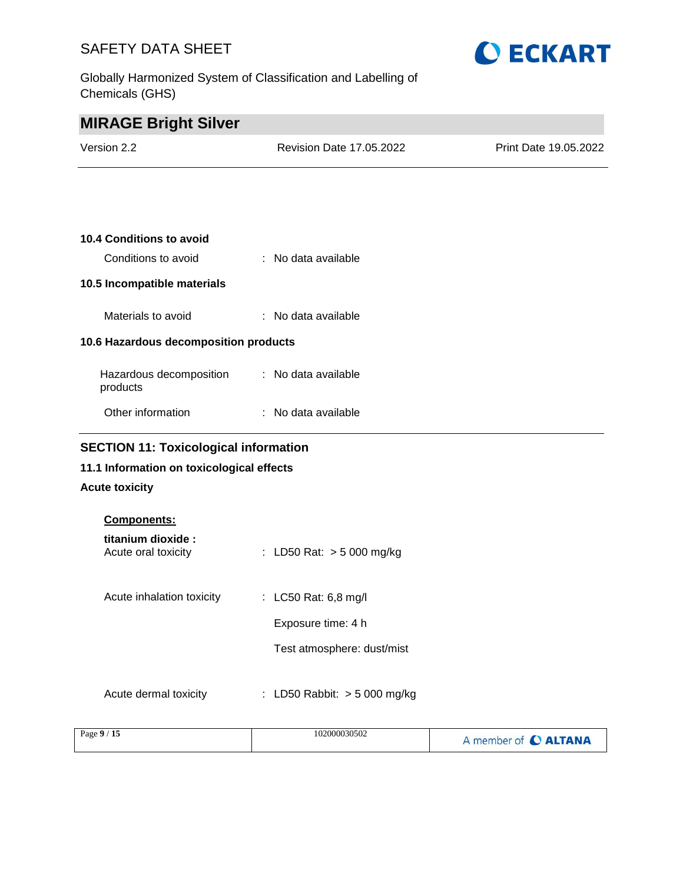Globally Harmonized System of Classification and Labelling of Chemicals (GHS)



| <b>MIRAGE Bright Silver</b>           |                                 |                       |
|---------------------------------------|---------------------------------|-----------------------|
| Version 2.2                           | <b>Revision Date 17.05.2022</b> | Print Date 19.05.2022 |
|                                       |                                 |                       |
|                                       |                                 |                       |
| <b>10.4 Conditions to avoid</b>       |                                 |                       |
| Conditions to avoid                   | : No data available             |                       |
| 10.5 Incompatible materials           |                                 |                       |
| Materials to avoid                    | : No data available             |                       |
| 10.6 Hazardous decomposition products |                                 |                       |
| Hazardous decomposition<br>products   | : No data available             |                       |
| Other information                     | : No data available             |                       |

### **SECTION 11: Toxicological information**

### **11.1 Information on toxicological effects**

### **Acute toxicity**

| <b>Components:</b>                       |                                |
|------------------------------------------|--------------------------------|
| titanium dioxide:<br>Acute oral toxicity | : LD50 Rat: $>$ 5 000 mg/kg    |
| Acute inhalation toxicity                | : LC50 Rat: 6,8 mg/l           |
|                                          | Exposure time: 4 h             |
|                                          | Test atmosphere: dust/mist     |
| Acute dermal toxicity                    | : LD50 Rabbit: $>$ 5 000 mg/kg |

| Page $9/15$ | 102000030502 | A member of C ALTANA |
|-------------|--------------|----------------------|
|-------------|--------------|----------------------|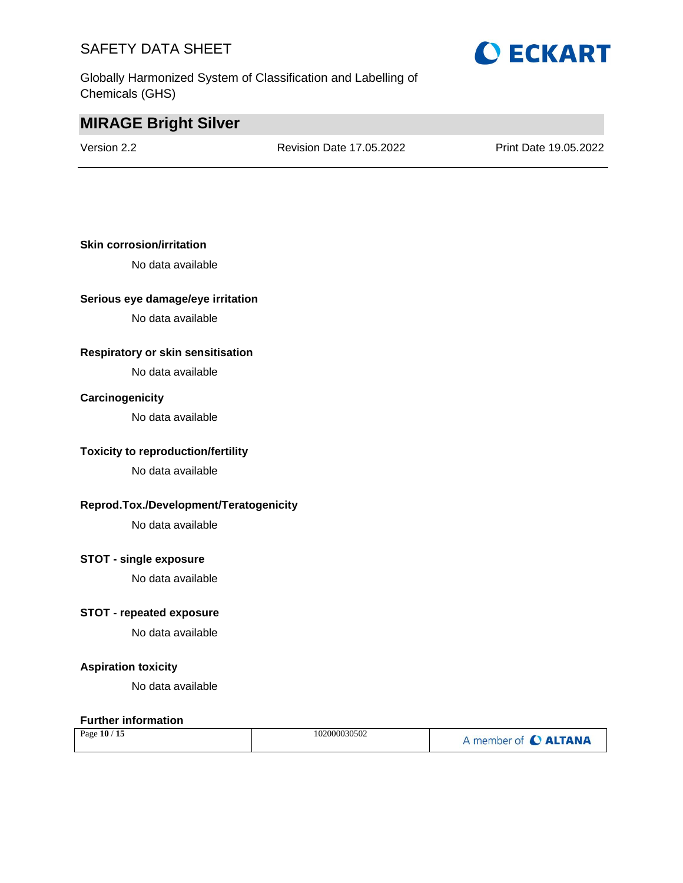Globally Harmonized System of Classification and Labelling of Chemicals (GHS)

# **O ECKART**

### **MIRAGE Bright Silver**

Version 2.2 Revision Date 17.05.2022 Print Date 19.05.2022

#### **Skin corrosion/irritation**

No data available

#### **Serious eye damage/eye irritation**

No data available

#### **Respiratory or skin sensitisation**

No data available

#### **Carcinogenicity**

No data available

#### **Toxicity to reproduction/fertility**

No data available

#### **Reprod.Tox./Development/Teratogenicity**

No data available

#### **STOT - single exposure**

No data available

#### **STOT - repeated exposure**

No data available

#### **Aspiration toxicity**

No data available

#### **Further information**

| Page 10 / 15 | 102000030502 | A member of C ALTANA |
|--------------|--------------|----------------------|
|--------------|--------------|----------------------|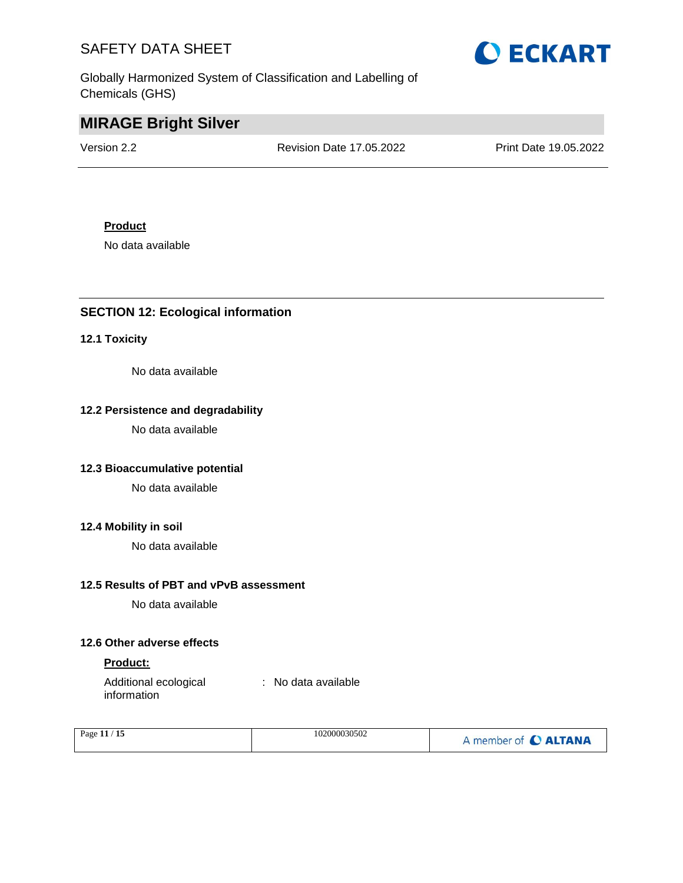Globally Harmonized System of Classification and Labelling of Chemicals (GHS)



### **MIRAGE Bright Silver**

Version 2.2 Revision Date 17.05.2022 Print Date 19.05.2022

#### **Product**

No data available

#### **SECTION 12: Ecological information**

#### **12.1 Toxicity**

No data available

#### **12.2 Persistence and degradability**

No data available

#### **12.3 Bioaccumulative potential**

No data available

#### **12.4 Mobility in soil**

No data available

#### **12.5 Results of PBT and vPvB assessment**

No data available

#### **12.6 Other adverse effects**

#### **Product:**

Additional ecological information : No data available

| Page $11/15$ | 102000030502 | A member of C ALTANA |
|--------------|--------------|----------------------|
|              |              |                      |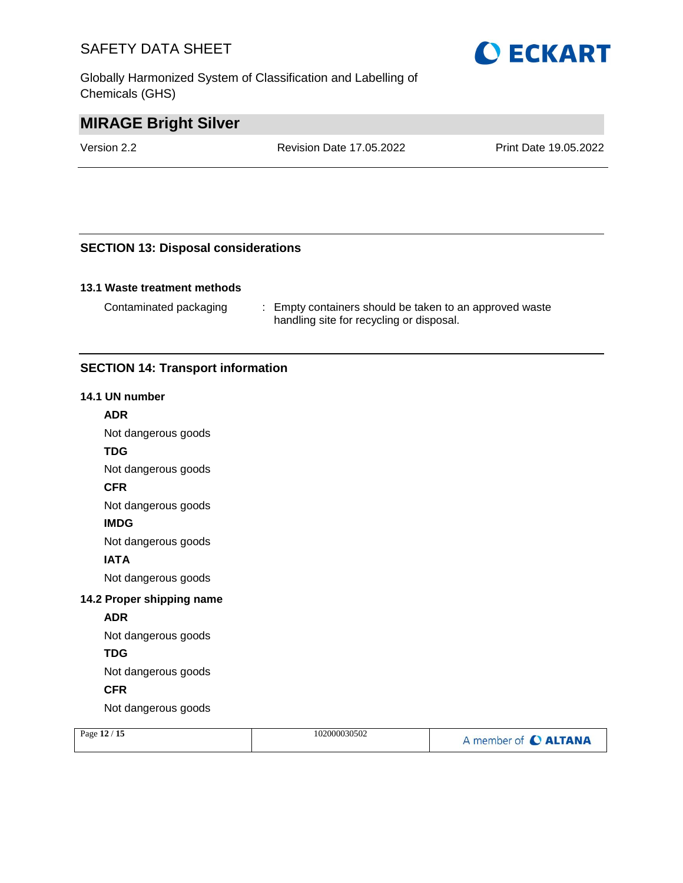Globally Harmonized System of Classification and Labelling of Chemicals (GHS)



### **MIRAGE Bright Silver**

Version 2.2 Revision Date 17.05.2022 Print Date 19.05.2022

#### **SECTION 13: Disposal considerations**

#### **13.1 Waste treatment methods**

Contaminated packaging : Empty containers should be taken to an approved waste handling site for recycling or disposal.

#### **SECTION 14: Transport information**

#### **14.1 UN number**

#### **ADR**

Not dangerous goods

#### **TDG**

Not dangerous goods

#### **CFR**

Not dangerous goods

#### **IMDG**

Not dangerous goods

#### **IATA**

Not dangerous goods

#### **14.2 Proper shipping name**

#### **ADR**

Not dangerous goods

#### **TDG**

Not dangerous goods

#### **CFR**

Not dangerous goods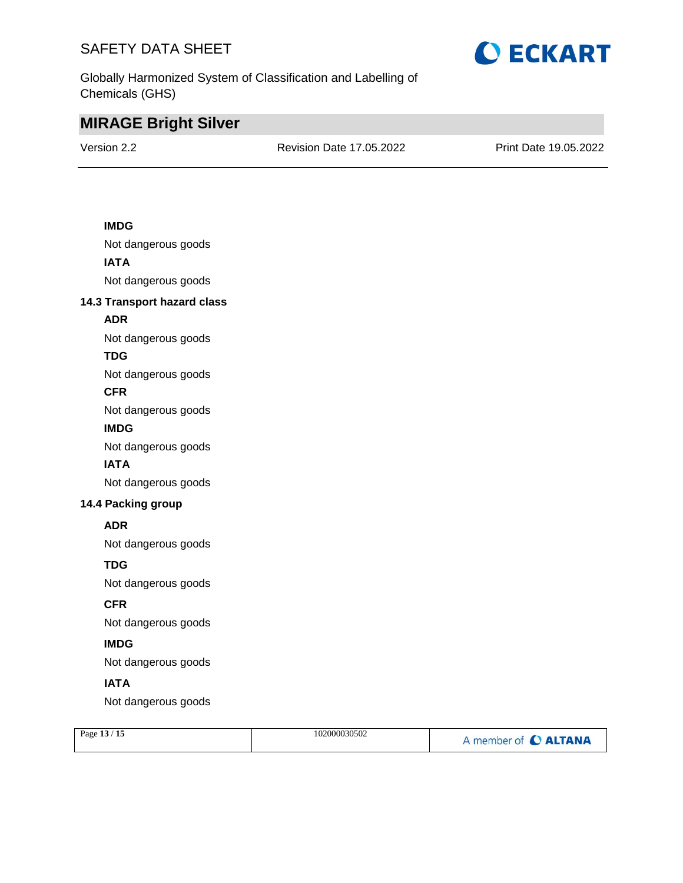

Globally Harmonized System of Classification and Labelling of Chemicals (GHS)

### **MIRAGE Bright Silver**

Version 2.2 Revision Date 17.05.2022 Print Date 19.05.2022

#### **IMDG**

Not dangerous goods **IATA** Not dangerous goods

#### **14.3 Transport hazard class**

#### **ADR**

Not dangerous goods

#### **TDG**

Not dangerous goods

#### **CFR**

Not dangerous goods

#### **IMDG**

Not dangerous goods

#### **IATA**

Not dangerous goods

#### **14.4 Packing group**

#### **ADR**

Not dangerous goods

#### **TDG**

Not dangerous goods

#### **CFR**

Not dangerous goods

#### **IMDG**

Not dangerous goods

#### **IATA**

Not dangerous goods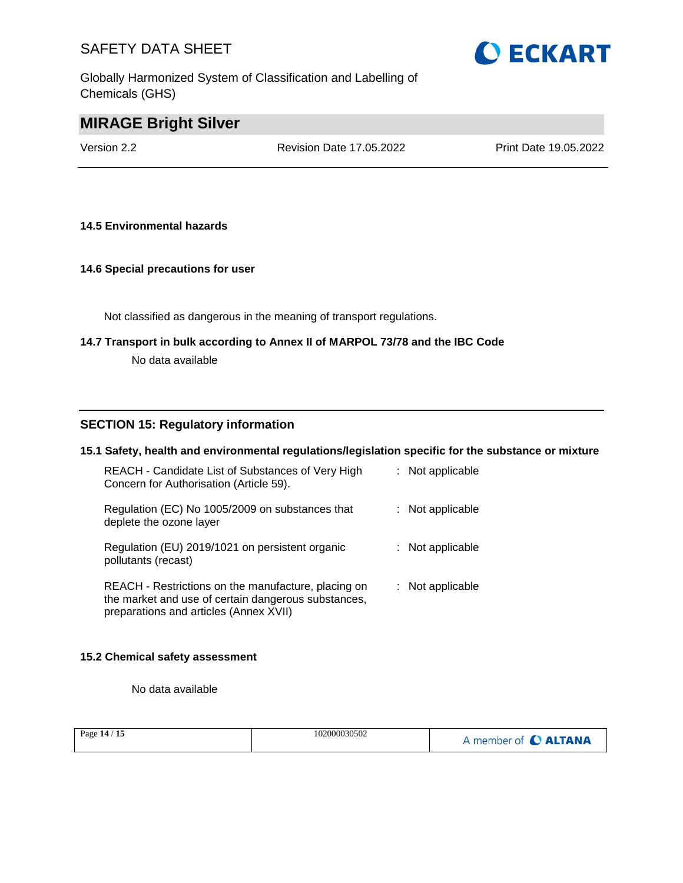Globally Harmonized System of Classification and Labelling of Chemicals (GHS)



### **MIRAGE Bright Silver**

Version 2.2 Revision Date 17.05.2022 Print Date 19.05.2022

#### **14.5 Environmental hazards**

#### **14.6 Special precautions for user**

Not classified as dangerous in the meaning of transport regulations.

# **14.7 Transport in bulk according to Annex II of MARPOL 73/78 and the IBC Code**

No data available

#### **SECTION 15: Regulatory information**

#### **15.1 Safety, health and environmental regulations/legislation specific for the substance or mixture**

| REACH - Candidate List of Substances of Very High<br>Concern for Authorisation (Article 59).                                                         | : Not applicable   |
|------------------------------------------------------------------------------------------------------------------------------------------------------|--------------------|
| Regulation (EC) No 1005/2009 on substances that<br>deplete the ozone layer                                                                           | : Not applicable   |
| Regulation (EU) 2019/1021 on persistent organic<br>pollutants (recast)                                                                               | $:$ Not applicable |
| REACH - Restrictions on the manufacture, placing on<br>the market and use of certain dangerous substances,<br>preparations and articles (Annex XVII) | : Not applicable   |

#### **15.2 Chemical safety assessment**

No data available

| Page 14 / 15 | 102000030502 | A member of C ALTANA |
|--------------|--------------|----------------------|
|--------------|--------------|----------------------|